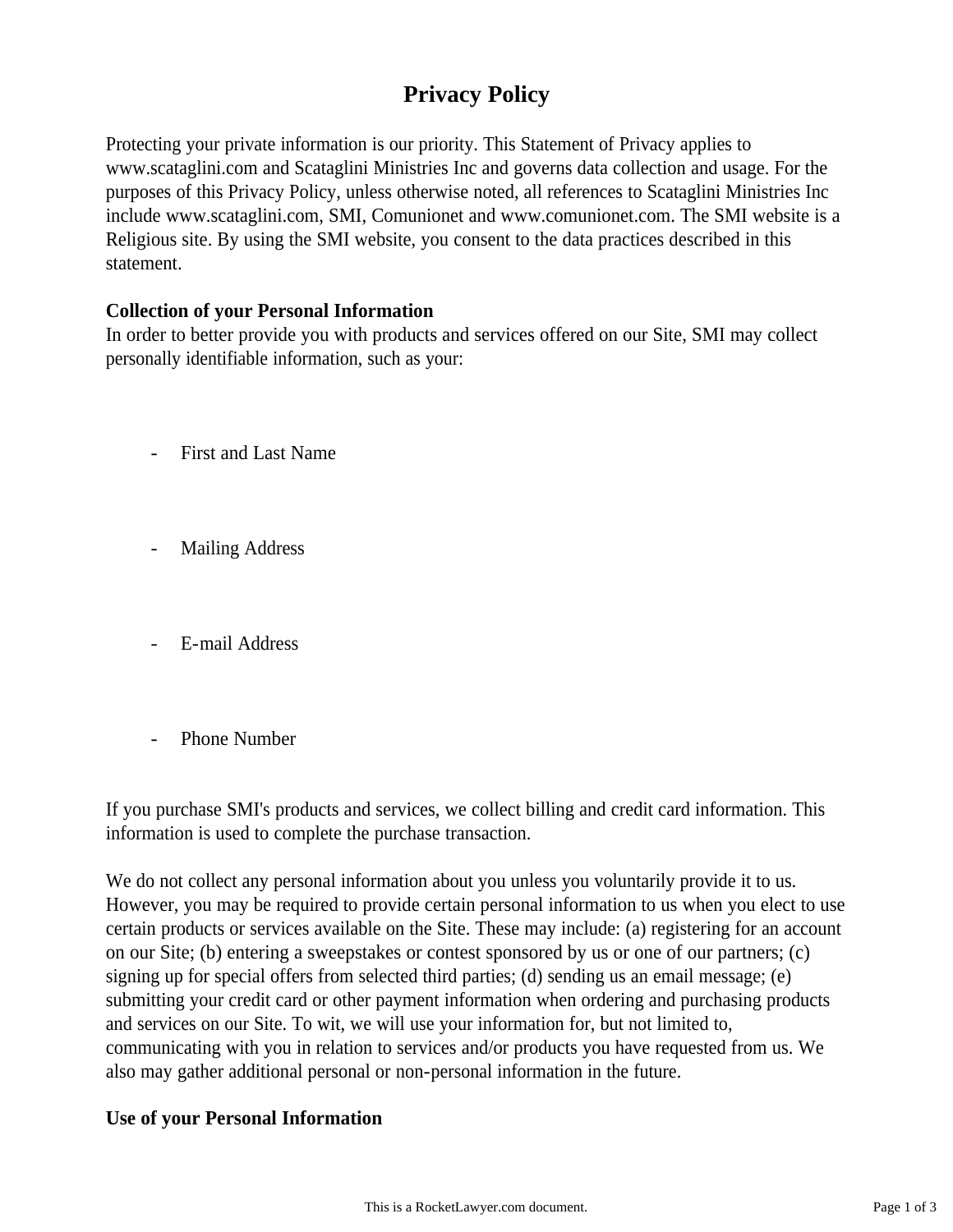# **Privacy Policy**

Protecting your private information is our priority. This Statement of Privacy applies to www.scataglini.com and Scataglini Ministries Inc and governs data collection and usage. For the purposes of this Privacy Policy, unless otherwise noted, all references to Scataglini Ministries Inc include www.scataglini.com, SMI, Comunionet and www.comunionet.com. The SMI website is a Religious site. By using the SMI website, you consent to the data practices described in this statement.

# **Collection of your Personal Information**

In order to better provide you with products and services offered on our Site, SMI may collect personally identifiable information, such as your:

- First and Last Name
- Mailing Address
- E-mail Address
- Phone Number

If you purchase SMI's products and services, we collect billing and credit card information. This information is used to complete the purchase transaction.

We do not collect any personal information about you unless you voluntarily provide it to us. However, you may be required to provide certain personal information to us when you elect to use certain products or services available on the Site. These may include: (a) registering for an account on our Site; (b) entering a sweepstakes or contest sponsored by us or one of our partners; (c) signing up for special offers from selected third parties; (d) sending us an email message; (e) submitting your credit card or other payment information when ordering and purchasing products and services on our Site. To wit, we will use your information for, but not limited to, communicating with you in relation to services and/or products you have requested from us. We also may gather additional personal or non-personal information in the future.

### **Use of your Personal Information**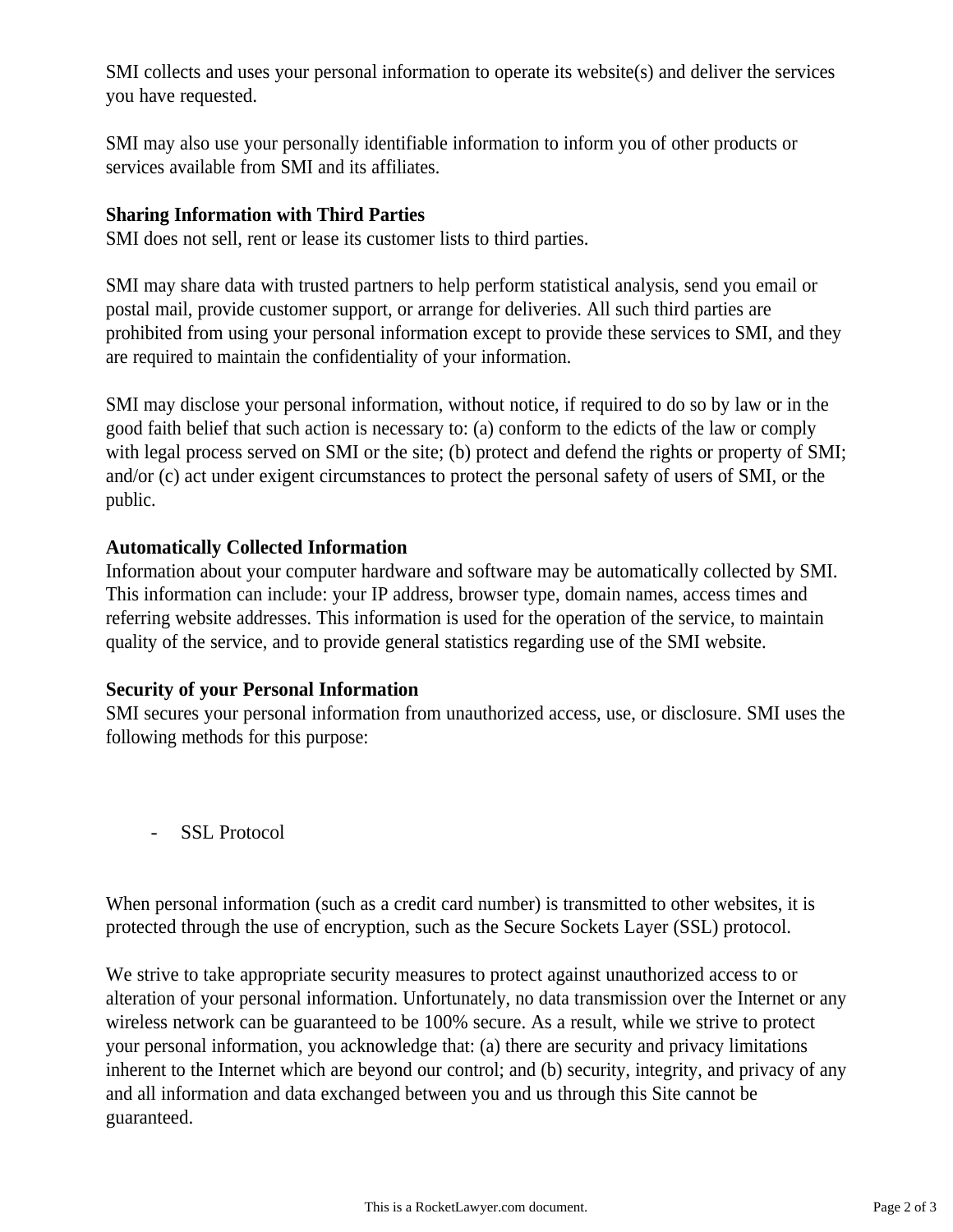SMI collects and uses your personal information to operate its website(s) and deliver the services you have requested.

SMI may also use your personally identifiable information to inform you of other products or services available from SMI and its affiliates.

# **Sharing Information with Third Parties**

SMI does not sell, rent or lease its customer lists to third parties.

SMI may share data with trusted partners to help perform statistical analysis, send you email or postal mail, provide customer support, or arrange for deliveries. All such third parties are prohibited from using your personal information except to provide these services to SMI, and they are required to maintain the confidentiality of your information.

SMI may disclose your personal information, without notice, if required to do so by law or in the good faith belief that such action is necessary to: (a) conform to the edicts of the law or comply with legal process served on SMI or the site; (b) protect and defend the rights or property of SMI; and/or (c) act under exigent circumstances to protect the personal safety of users of SMI, or the public.

# **Automatically Collected Information**

Information about your computer hardware and software may be automatically collected by SMI. This information can include: your IP address, browser type, domain names, access times and referring website addresses. This information is used for the operation of the service, to maintain quality of the service, and to provide general statistics regarding use of the SMI website.

# **Security of your Personal Information**

SMI secures your personal information from unauthorized access, use, or disclosure. SMI uses the following methods for this purpose:

- SSL Protocol

When personal information (such as a credit card number) is transmitted to other websites, it is protected through the use of encryption, such as the Secure Sockets Layer (SSL) protocol.

We strive to take appropriate security measures to protect against unauthorized access to or alteration of your personal information. Unfortunately, no data transmission over the Internet or any wireless network can be guaranteed to be 100% secure. As a result, while we strive to protect your personal information, you acknowledge that: (a) there are security and privacy limitations inherent to the Internet which are beyond our control; and (b) security, integrity, and privacy of any and all information and data exchanged between you and us through this Site cannot be guaranteed.